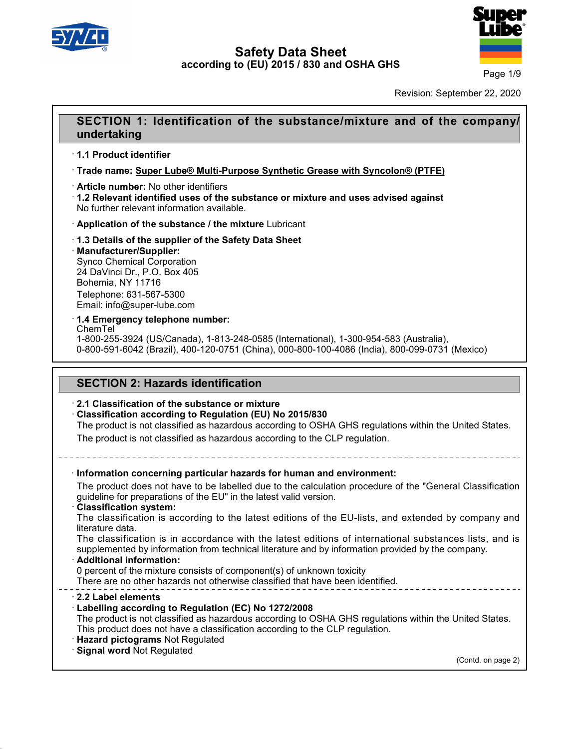



Page 1/9

Revision: September 22, 2020

# **SECTION 1: Identification of the substance/mixture and of the company/**<br> **SECTION 1: Identification of the substance/mixture and of the company/**<br> **SECTION 1: Identification of the substance/mixture and of the company/ undertaking SECTION 1: Identifica**<br>
undertaking<br>
1.1 Product identifier<br>
Trade name: Super Lube® Mu · **Trade name: Super Lube® Multi-Purpose Synthetic Grease with Syncolon® (PTFE) undertaking<br>
∙ 1.1 Product identifier<br>
∙ Trade name: <u>Super Lube® Multi-Purpose S</u><br>
∙ Article number: No other identifiers<br>
∙ 1.2 Relevant identified uses of the substar<br>
No further relevant information available. 1.1 Product identifier**<br>• Trade name: Super Lube® Multi-Purpose Synthetic Grease with Syncolon® (PTFE)<br>• Article number: No other identifiers<br>• 1.2 Relevant identified uses of the substance or mixture and uses advised aga

**Trade name: Super Lube® Multi-Purpose Synthetic Grease wit**<br> **Article number:** No other identifiers<br> **1.2 Relevant identified uses of the substance or mixture and u<br>
No further relevant information available.<br>
<b>4. Applic** 

- 
- · **Manufacturer/Supplier:**

No further relevant information available<br> **Application of the substance / the n<br>
1.3 Details of the supplier of the Sat<br>
Manufacturer/Supplier:**<br>
Synco Chemical Corporation<br>
24 DaVinci Dr., P.O. Box 405<br>
Rohemia NY 11716 Application of the substance / the mixture<br>1.3 Details of the supplier of the Safety Da<br>Manufacturer/Supplier:<br>Synco Chemical Corporation<br>24 DaVinci Dr., P.O. Box 405<br>Bohemia, NY 11716 1.3 Details of the supplier of the<br>**Manufacturer/Supplier:**<br>Synco Chemical Corporation<br>24 DaVinci Dr., P.O. Box 405<br>Bohemia, NY 11716<br>Telephone: 631-567-5300<br>Email: info@supor lubo.com Telephone: 631-567-5300 Email: info@super-lube.com

### · **1.4 Emergency telephone number:**

ChemTel

40.1.5

1-800-255-3924 (US/Canada), 1-813-248-0585 (International), 1-300-954-583 (Australia), 0-800-591-6042 (Brazil), 400-120-0751 (China), 000-800-100-4086 (India), 800-099-0731 (Mexico) **T.4 Emergency telephone number:**<br>ChemTel<br>1-800-255-3924 (US/Canada), 1-813-248-0585 (Internatio-800-591-6042 (Brazil), 400-120-0751 (China), 000-800<br>**SECTION 2: Hazards identification**<br>2.1 Classification of the substance

# **2.1 Classification of the substance or mixture<br>
Classification according to Regulation (EU) No 2015/830<br>
The product is not classified as hazardous according to OSI**

· **Classification according to Regulation (EU) No 2015/830**

SECTION 2: Hazards identification<br>2.1 Classification of the substance or mixture<br>Classification according to Regulation (EU) No 2015/830<br>The product is not classified as hazardous according to OSHA GHS regulations within t

SECTION 2: Hazards Identification<br>2.1 Classification of the substance or mixture<br>Classification according to Regulation (EU) No 2015/830<br>The product is not classified as hazardous according to the CLP regulation.<br>---------The product is not classified as hazardous according to OSHA GHS regulations with<br>
The product is not classified as hazardous according to the CLP regulation.<br>
<br> **Information concerning particular hazards for human and env** The product is not classified as hazardous according to the CLP regulation.<br>
<br> **The product does not have to be labelled due to the calculation procedure of the "General Classification guideline for preparations of the EU"** Information concerning particular hazards for human and environment The product does not have to be labelled due to the calculation procedure guideline for preparations of the EU" in the latest valid version.<br> **Classificat** Information concerning particular hazards for human and environment:<br>The product does not have to be labelled due to the calculation procedure of the "General Classification<br>guideline for preparations of the EU" in the lat Information concerning particular<br>The product does not have<br>guideline for preparations of<br>Classification system:<br>The classification is accor<br>literature data.<br>The classification is in accor The product does not have to be labelled due to the calculation procedure of the "General Classification<br>guideline for preparations of the EU" in the latest valid version.<br>**Classification system:**<br>The classification is acc supplemented by comparations of the EU" in the latest valid version.<br>
Classification system:<br>
The classification is according to the latest editions of the EU-lists, and extended by company and<br>
literature data.<br>
The class ilterature data.<br>
The classification is in accordance with the latest editions of international substances lists, and is<br>
supplemented by information from technical literature and by information provided by the company.<br> The classification is in accordance with the latest editions of international subst<br>supplemented by information from technical literature and by information provided by the<br>**Additional information:**<br>O percent of the mixtur <sup>0</sup> percent of the mixture consists of component(s) of unknown toxicity<br>
There are no other hazards not otherwise classified that have been identified<br> **2.2 Label elements**<br> **Labelling according to Regulation (EC) No 1272/** The product is not classified as hazardous according to OSHA GHS regulations within the United States.<br>This product does not have a classification according to the CLP regulation.<br>
The **Hazard pictograms** Not Regulated There are no other hazards not otherwise classified that have been identified.<br> **EXEC 2.2 Label elements**<br> **EXECT: Labelling according to Regulation (EC) No 1272/2008**<br>
The product is not classified as hazardous accordin · **Labelling according to Regulation (EC) No 1272/2008**<br>The product is not classified as hazardous according to C<br>This product does not have a classification according to tl<br>· **Hazard pictograms** Not Regulated<br>· **Signal wo** Inited States.<br>(Contd. on page 2)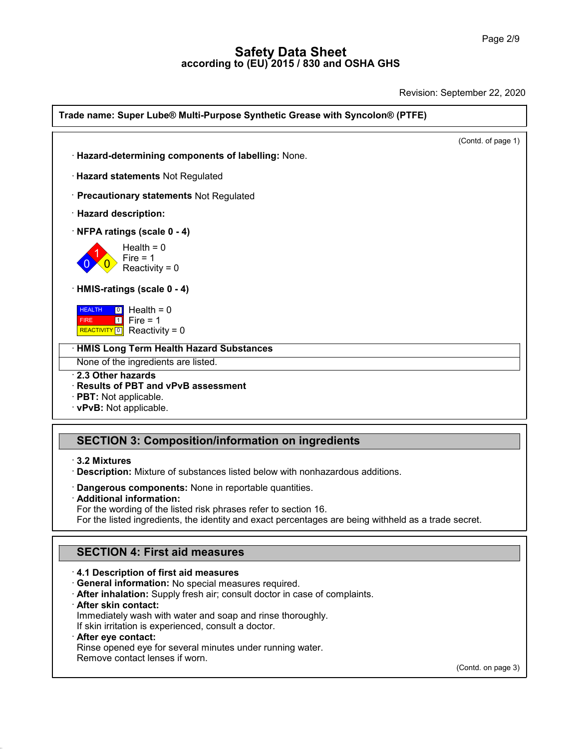Revision: September 22, 2020

| Trade name: Super Lube® Multi-Purpose Synthetic Grease with Syncolon® (PTFE)                           |                    |  |
|--------------------------------------------------------------------------------------------------------|--------------------|--|
|                                                                                                        | (Contd. of page 1) |  |
| · Hazard-determining components of labelling: None.                                                    |                    |  |
| · Hazard statements Not Regulated                                                                      |                    |  |
| · Precautionary statements Not Regulated                                                               |                    |  |
| · Hazard description:                                                                                  |                    |  |
| NFPA ratings (scale 0 - 4)                                                                             |                    |  |
| Health = $0$<br>Fire $= 1$<br>Reactivity = $0$                                                         |                    |  |
| HMIS-ratings (scale 0 - 4)                                                                             |                    |  |
| $\boxed{0}$ Health = 0<br><b>HEALTH</b><br>$\boxed{1}$ Fire = 1<br>FIRE<br>REACTIVITY 0 Reactivity = 0 |                    |  |
| <b>HMIS Long Term Health Hazard Substances</b>                                                         |                    |  |
| None of the ingredients are listed.                                                                    |                    |  |
| 2.3 Other hazards<br>Results of PBT and vPvB assessment                                                |                    |  |
| · PBT: Not applicable.<br>· vPvB: Not applicable.                                                      |                    |  |
| <b>SECTION 3: Composition/information on ingredients</b>                                               |                    |  |
|                                                                                                        |                    |  |
| $\cdot$ 3.2 Mixtures<br>Description: Mixture of substances listed below with nonhazardous additions.   |                    |  |
| Dangerous components: None in reportable quantities.                                                   |                    |  |
| · Additional information:<br>For the wording of the listed risk phrases refer to section 16.           |                    |  |
| For the listed ingredients, the identity and exact percentages are being withheld as a trade secret.   |                    |  |

SECTION 3: Composition/information on ingredients<br>
· 3.2 Mixtures<br>
· Description: Mixture of substances listed below with nonhazardous additions.<br>
· Dangerous components: None in reportable quantities. 3.2 Mixtures<br>Description: Mixture of substances listed below with nonhazardous addition<br>Dangerous components: None in reportable quantities.<br>Additional information:<br>For the wording of the listed risk phrases refer to secti

**Description:** Mixture of substances listed below with nonhazardous additions.<br> **Dangerous components:** None in reportable quantities.<br> **Additional information:**<br>
For the wording of the listed risk phrases refer to section **Additional information:**<br>For the wording of the listed risk phrases refer to section 16.<br>For the listed ingredients, the identity and exact percentages<br>**SECTION 4: First aid measures**<br>**4.1 Description of first aid measure** 

**· General information:** No special measures required.

**SECTION 4: First aid measures**<br> **· 4.1 Description of first aid measures**<br> **· General information:** No special measures required.<br> **· After inhalation:** Supply fresh air; consult doctor in case of complaints.<br> **· After sk After inhalation:** Supply fresh air; consult doctor in case of complaints.<br> **After skin contact:**<br>
Immediately wash with water and soap and rinse thoroughly.<br>
If skin irritation is experienced, consult a doctor.<br> **After e** 

40.1.5

If all Description of first aid measures<br>
If General information: No special measures required.<br> **After inhalation:** Supply fresh air; consult doctor in case of<br> **After skin contact:**<br>
Immediately wash with water and soap After inhalation: Supply fresh air; consult doctor in case of complaints.<br>After skin contact:<br>Immediately wash with water and soap and rinse thoroughly.<br>If skin irritation is experienced, consult a doctor.<br>After eye contac If skin irritation is experienced, consult a doctor.<br> **After eye contact:**<br>
Rinse opened eye for several minutes under run<br>
Remove contact lenses if worn.

(Contd. on page 3)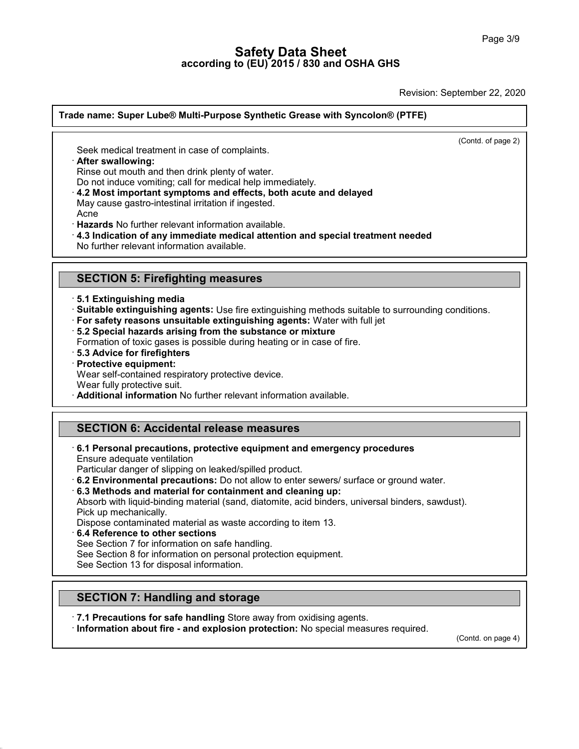Revision: September 22, 2020

# **Trade name: Super Lube® Multi-Purpose Synthetic Grease with Syncolon® (PTFE) Seek medical treatment in case of complaints.**<br>
Seek medical treatment in case of complaints.<br> **After swallowing:**<br>
Rinse out mouth and then drink plenty of water.<br>
Do not induce vomiting: call for medical help immedia

 $\overline{(\text{Cond. of page 2})}$ 

References of complaints.<br>Seek medical treatment in case of complaints.<br>After swallowing:<br>Rinse out mouth and then drink plenty of water.<br>Do not induce vomiting; call for medical help immediately.<br>4.2 Most important sympto

- Seek medical treatment in case of complaints.<br> **After swallowing:**<br>
Rinse out mouth and then drink plenty of water.<br>
Do not induce vomiting; call for medical help immediately.<br> **4.2 Most important symptoms and effects, bot** Seek medical treatment in case of complaints.<br>**After swallowing:**<br>Rinse out mouth and then drink plenty of water.<br>Do not induce vomiting; call for medical help immediately.<br>**4.2 Most important symptoms and effects, both ac** Frame out mouth and then drink plenty of water.<br>
Do not induce vomiting; call for medical help immediately.<br> **· 4.2 Most important symptoms and effects, both acute and delayed**<br>
May cause gastro-intestinal irritation if in <ul>\n<li><b>4.2 Most important symptoms and effects, both acute and delayed</b> May cause gastro-intestinal irrational information if ingested.</li>\n<li>Acne\n <b>Hazards No further relevant information available.</b>\n<ul>\n<li><b>4.3 Indication of any immediate medical attention and special treatment needed</b> No further relevant information available.</li>\n</ul>\n</ul>
- Acne

- Acrie<br>**Hazards** No further relevant information available.<br>4.3 Indication of any immediate medical attention an<br>No further relevant information available.<br>**SECTION 5: Firefighting measures**<br>5.1 Extinguishing media
- 

# · **5.1 Extinguishing media**

- 
- **SECTION 5: Firefighting measures**<br>
5.1 Extinguishing media<br>
3.1 Extinguishing agents: Use fire extinguishing methods suitable to surrounding conditions.<br>
1 For safety reasons unsuitable extinguishing agents: Water with fu Formation of toxic gases is use fire extinguishing methods suitable to surrour<br>
For safety reasons unsuitable extinguishing agents: Water with full jet<br>
For safety reasons unsuitable extinguishing agents: Water with full j
- **For safety reasons unsuitable extinguishing agents:** Water with full jet<br>
 5.2 Special hazards arising from the substance or mixture<br>
Formation of toxic gases is possible during heating or in case of fire.<br>
 **Protecti**
- 
- **5.2 Special hazards arising from the substance or mixture**<br>Formation of toxic gases is possible during heating or in case of fi<br>**5.3 Advice for firefighters**<br>Protective equipment:<br>Wear self-contained respiratory protecti **Brauding 19 Separation** from the substance or mixture<br>
Formation of toxic gases is possible during heating or in case of fire.<br> **Brauding 19 Separation**<br> **Protective equipment:**<br>
Wear self-contained respiratory protective
- 
- 
- 
- 
- 

### **SECTION 6: Accidental release measures**

**Protective equipment:**<br>
Wear self-contained respiratory protective device.<br>
Wear fully protective suit.<br> **Additional information** No further relevant information available<br> **SECTION 6: Accidental release measures**<br>
6.1 Pe · **6.1 Personal precautions, protective equipment and emergency procedures**

- 
- 

**SECTION 6: Accidental release measures**<br> **Ensure adequate ventilation**<br>
Particular danger of slipping on leaked/spilled product.<br> **6.2 Environmental precautions:** Do not allow to enter sewers/ surface or ground water.<br> **6** 6.1 Personal precautions, protective equipment and emergency procedures<br>Ensure adequate ventilation<br>Particular danger of slipping on leaked/spilled product.<br>6.2 Environmental precautions: Do not allow to enter sewers/ surf Ensure adequate ventilation<br>Particular danger of slippin<br>**6.2 Environmental precau<br>6.3 Methods and material**<br>Absorb with liquid-binding r<br>Pick up mechanically.<br>Dispose contaminated mat<br>**6.4 Reference to other se** Particular danger of slipping on leaked/spilled product.<br> **6.2 Environmental precautions:** Do not allow to enter sewers/ surface or gro<br> **6.3 Methods and material for containment and cleaning up:**<br>
Absorb with liquid-bindi **6.3 Methods and material for containment and cleani**<br>Absorb with liquid-binding material (sand, diatomite, acid<br>Pick up mechanically.<br>Dispose contaminated material as waste according to ite<br>**6.4 Reference to other section** Absorb with liquid-binding material (sand, diatomite, acid binders, univer<br>Pick up mechanically.<br>Dispose contaminated material as waste according to item 13.<br>6.4 Reference to other sections<br>See Section 7 for information on

Pick up mechanically.<br>Dispose contaminated material as waste accore<br>6.4 Reference to other sections<br>See Section 7 for information on safe handling.<br>See Section 8 for information on personal prote<br>See Section 13 for disposa

40.1.5

**See Section 7 for information on safe handling.**<br>
See Section 8 for information on personal protection equisible Section 13 for disposal information.<br> **SECTION 7: Handling and storage**<br> **7.1 Precautions for safe handling** 

**SECTION 7: Handling and storage<br>
• 7.1 Precautions for safe handling** Store away from oxidising agents.<br>
• **Information about fire - and explosion protection:** No special measures required. (Compression protection: No sp

(Contd. on page 4)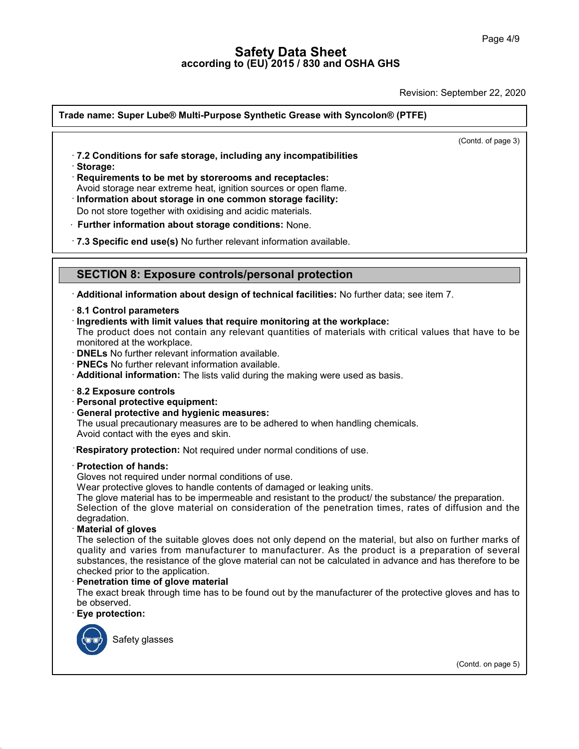Revision: September 22, 2020

# **Trade name: Super Lube® Multi-Purpose Synthetic Grease with Syncolon® (PTFE)**  $\overline{(\text{Contd. of page 3})}$ **Figure 12 Super Lube® Multi-Purpose Synthetic Grease with Syncolon®**<br>- 7.2 Conditions for safe storage, including any incompatibilities<br>- Storage:<br>- Requirements to be met by storerooms and receptacles: · **Storage:** • **7.2 Conditions for safe storage, including any incompatibilities**<br>• **Storage:**<br>• **Requirements to be met by storerooms and receptacles:**<br>• Avoid storage near extreme heat, ignition sources or open flame.<br>• **Information** Avoid storage:<br> **Requirements to be met by storerooms and receptacles:**<br>
Avoid storage near extreme heat, ignition sources or open flame.<br> **Information about storage in one common storage facility:**<br>
Do not store together Do not store together with oxidising and acidic materials. • **Requirements to be met by storerooms and receptacles:**<br>Avoid storage near extreme heat, ignition sources or open flame.<br>• **Information about storage in one common storage facility:**<br>Do not store together with oxidising Do not store together with oxidising and acidic materials.<br>**Further information about storage conditions:** None.<br>**7.3 Specific end use(s)** No further relevant information available.<br>**SECTION 8: Exposure controls/personal p** · **Additional information about design of technical facilities:** No further data; see item 7. · **8.1 Control parameters SECTION 8: Exposure controls/personal protection**<br>
• Additional information about design of technical facilities: No further data; see<br>
• 8.1 Control parameters<br>
• Ingredients with limit values that require monitoring at Muslim and information about design of technical facilities: No further data; see item 7.<br>
8.1 Control parameters<br>
Ingredients with limit values that require monitoring at the workplace:<br>
The product does not contain any r Followial information about design of technical facilities: No further data; see item 7.<br> **8.1 Control parameters**<br>
Fingredients with limit values that require monitoring at the workplace:<br>
The product does not contain an • **DNELs** No further relevant information available.<br>• **PNECs** No further relevant information available.<br>• **Additional information:** The lists valid during the<br>• 8.2 Exposure controls<br>• Personal protective equipment:<br>• Ge **Additional information:** The lists valid during the making were used as basis. The usual precautionary measures are to be adhered to when handling chemicals. Avoid contact with the eyes and skin. **• Personal protective equipment:**<br>• **General protective and hygienic measures:**<br>The usual precautionary measures are to be adhered to when handling chemicals.<br>Avoid contact with the eyes and skin.<br>**• Respiratory protectio** Respiratory protection: Not required under normal conditions of use.<br>
Protection of hands:<br>
Gloves not required under normal conditions of use.<br>
Wear protective gloves to handle contents of damaged or leaking units. Avoid contact with the eyes and skin.<br>
Respiratory protection: Not required under normal conditions of use.<br>
Protection of hands:<br>
Gloves not required under normal conditions of use.<br>
Wear protective gloves to handle conte **Respiratory protection:** Not required under normal conditions of use.<br> **Protection of hands:**<br>
Gloves not required under normal conditions of use.<br>
Wear protective gloves to handle contents of damaged or leaking units.<br>
T **Protection of hands:**<br>Sloves not required under normal conditions of use.<br>Wear protective gloves to handle contents of damaged or leaking units.<br>The glove material has to be impermeable and resistant to the product/ the s degradation. Gloves not required under norm<br>Wear protective gloves to hand<br>The glove material has to be in<br>Selection of the glove materi<br>degradation.<br>**Material of gloves**<br>The selection of the suitable g<br>quality and varies from man Wear protective gloves to handle contents of damaged or leaking units.<br>The glove material has to be impermeable and resistant to the product/ the substance/ the preparation.<br>Selection of the glove material on consideration The glove material has to be impermeable and resistant to the product/ the substance/ the preparation.<br>Selection of the glove material on consideration of the penetration times, rates of diffusion and the degradation.<br>**Mat** Selection of the glove material on consideration of the penetration times, rates of diffusion and the<br>degradation.<br>**Material of gloves**<br>The selection of the suitable gloves does not only depend on the material, but also on degradation.<br> **Checked prior is the suitable gloves does not**<br>
quality and varies from manufacturer to material<br>
substances, the resistance of the glove material<br>
checked prior to the application.<br> **Penetration time of glo** The selection of the suitable gloves does not only depend on the material, but also on further marks of<br>quality and varies from manufacturer to manufacturer. As the product is a preparation of several<br>substances, the resis quality and varies from<br>substances, the resista<br>checked prior to the app<br>**Penetration time of gli**<br>The exact break throug<br>be observed.<br>**Eye protection:** Penetration time of glove material<br>The exact break through time has to be found out by the manufacturer of the protective gloves and has to<br>be observed.<br>Eye protection:<br>Safety glasses (Contd. on page 5)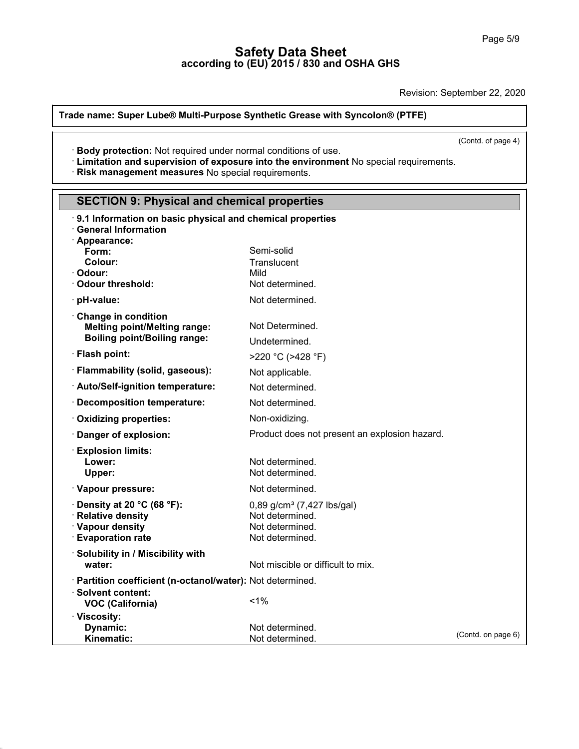Revision: September 22, 2020

### **Trade name: Super Lube® Multi-Purpose Synthetic Grease with Syncolon® (PTFE)**

 $\overline{(\text{Cond. of page 4})}$ 

**Explores 18 and the Universe Synthetic Grease with Syncolon® (PTFE)**<br>
• **Body protection:** Not required under normal conditions of use.<br>
• **Limitation and supervision of exposure into the environment** No special requireme

| · Body protection: Not required under normal conditions of use.                                                                              |                                                                                                 | (Contd. of page 4) |  |
|----------------------------------------------------------------------------------------------------------------------------------------------|-------------------------------------------------------------------------------------------------|--------------------|--|
| Elimitation and supervision of exposure into the environment No special requirements.<br>· Risk management measures No special requirements. |                                                                                                 |                    |  |
|                                                                                                                                              |                                                                                                 |                    |  |
| <b>SECTION 9: Physical and chemical properties</b>                                                                                           |                                                                                                 |                    |  |
| 9.1 Information on basic physical and chemical properties<br><b>General Information</b><br>· Appearance:                                     |                                                                                                 |                    |  |
| Form:<br>Colour:<br>· Odour:<br>Odour threshold:                                                                                             | Semi-solid<br>Translucent<br>Mild<br>Not determined.                                            |                    |  |
| · pH-value:                                                                                                                                  | Not determined.                                                                                 |                    |  |
| Change in condition<br><b>Melting point/Melting range:</b><br><b>Boiling point/Boiling range:</b>                                            | Not Determined.<br>Undetermined.                                                                |                    |  |
| · Flash point:                                                                                                                               | >220 °C (>428 °F)                                                                               |                    |  |
| · Flammability (solid, gaseous):                                                                                                             | Not applicable.                                                                                 |                    |  |
| · Auto/Self-ignition temperature:                                                                                                            | Not determined.                                                                                 |                    |  |
| · Decomposition temperature:                                                                                                                 | Not determined.                                                                                 |                    |  |
| · Oxidizing properties:                                                                                                                      | Non-oxidizing.                                                                                  |                    |  |
| Danger of explosion:                                                                                                                         | Product does not present an explosion hazard.                                                   |                    |  |
| <b>Explosion limits:</b><br>Lower:<br>Upper:                                                                                                 | Not determined.<br>Not determined.                                                              |                    |  |
| · Vapour pressure:                                                                                                                           | Not determined.                                                                                 |                    |  |
| $\cdot$ Density at 20 °C (68 °F):<br>· Relative density<br>· Vapour density<br><b>Evaporation rate</b>                                       | 0,89 g/cm <sup>3</sup> (7,427 lbs/gal)<br>Not determined.<br>Not determined.<br>Not determined. |                    |  |
| · Solubility in / Miscibility with<br>water:                                                                                                 | Not miscible or difficult to mix.                                                               |                    |  |
| · Partition coefficient (n-octanol/water): Not determined.<br>· Solvent content:<br><b>VOC (California)</b>                                  | 1%                                                                                              |                    |  |
| · Viscosity:<br>Dynamic:<br>Kinematic:                                                                                                       | Not determined.<br>Not determined.                                                              | (Contd. on page 6) |  |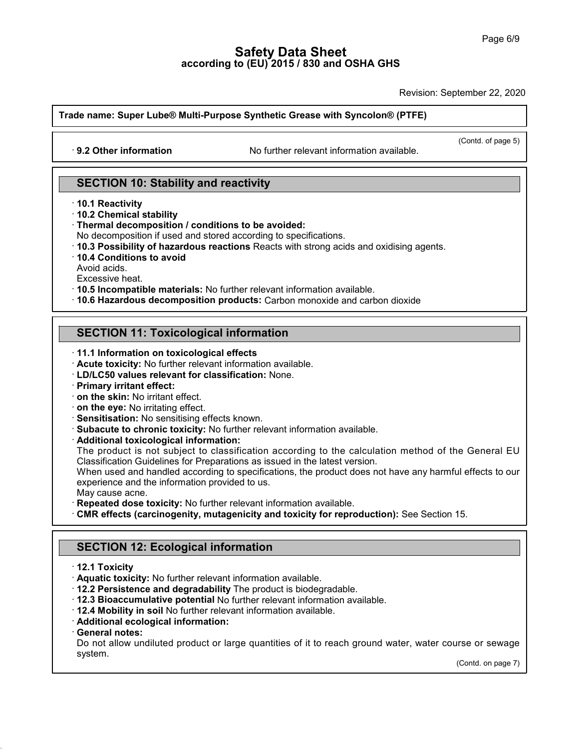Revision: September 22, 2020

# **Trade name: Super Lube® Multi-Purpose Synthetic Grease with Syncolon® (PTFE)** • **19.2 Other information**<br>• **9.2 Other information** No further relevant information available.

 $\overline{\phantom{0}}$ <br>(Contd. of page 5)

# **SECTION 10: Stability and reactivity**<br> **SECTION 10: Stability and reactivity** · 9.2 Other Information<br>SECTION 10: Stabil<br>10.1 Reactivity<br>10.2 Chemical stability<br>Thermal decomposition **SECTION 10: Stability and**<br>10.1 Reactivity<br>10.2 Chemical stability<br>Thermal decomposition / condition<br>No decomposition if used and storm

- 
- 
- 
- 
- **10.1 Reactivity<br>10.2 Chemical stability<br>Thermal decomposition / conditions to be avoided:<br>No decomposition if used and stored according to specifications.<br>10.3 Possibility of hazardous reactions Reacts with strong acids a** SECTION 10: Stability and reactivity<br>
10.1 Reactivity<br>
10.2 Chemical stability<br>
Thermal decomposition *I* conditions to be avoided:<br>
No decomposition if used and stored according to specifications.<br>
1**0.4 Conditions to avo** Thermal decomposition / conditions to be avoided:<br>
No decomposition if used and stored according to specifications.<br>
10.3 Possibility of hazardous reactions Reacts with strong acids and<br>
10.4 Conditions to avoid<br>
Avoid aci **Thermal decomposition / conditions to be avoided:**<br>
No decomposition if used and stored according to specifications.<br> **10.3 Possibility of hazardous reactions** Reacts with strong acids and oxidising agents.<br> **10.4 Condit**
- 

- 
- Avold acids.<br>Excessive heat.<br>10.5 **Incompatible materials:** No further relevant information a<br>10.6 Hazardous decomposition products: Carbon monoxide<br>**SECTION 11: Toxicological information**<br>11.1 Information on toxicological

# **11.6 Hazardous decomposition products:** Carbon m<br> **SECTION 11: Toxicological information**<br> **11.1 Information on toxicological effects**<br> **Acute toxicity:** No further relevant information available<br> **LD/LC50 values relevant SECTION 11: Toxicological information**<br> **COLOGICAL 11.1 Information on toxicological effects**<br> **COLOGIC values relevant for classification:** None.<br> **Primary irritant effect:**<br> **COLOGIC values relevant for classification:**

- 
- · **Acute toxicity:** No further relevant information available.
- 
- 
- 
- 
- 
- 

11.1 Information on toxicological effects<br>
11.1 Information on toxicological effects<br>
1 LD/LC50 values relevant for classification: None.<br>
1 Primary irritant effect:<br>
1 on the skin: No irritating effect.<br>
1 on the eye: No on the skin: No irritant effect.<br>
on the eye: No irritating effects<br>
Sensitisation: No sensitising effects known.<br>
Subacute to chronic toxicity: No further relevant information available.<br>
Additional toxicological informat on the eye: No irritating effect.<br>Sensitisation: No sensitising effects known.<br>Subacute to chronic toxicity: No further relevant information available.<br>Additional toxicological information:<br>The product is not subject to cl Subacute to chronic toxicity: No further relevant information available.<br> **Additional toxicological information:**<br>
The product is not subject to classification according to the calculation method of the General EU<br>
Classif **Subacute to chronic toxicity:** No further relevant information<br> **Additional toxicological information:**<br>
The product is not subject to classification according to tl<br>
Classification Guidelines for Preparations as issued i Additional toxicological information:<br>
The product is not subject to classification according to the calculation method of the General EU<br>
Classification Guidelines for Preparations as issued in the latest version.<br>
When u

- 
- Experience and the information provided to us.<br>
May cause acne.<br> **Repeated dose toxicity:** No further relevant information aver<br> **SECTION 12: Ecological information<br>
12.1 Toxicity**<br> **SECTION 12: Ecological information CMR effects (carcinogenity, mutagenicity and toxicity for reproduction):** See Section 15.<br> **12.1 Toxicity**<br> **12.1 Toxicity**<br> **12.1 Toxicity**<br> **12.1 Toxicity**<br> **12.1 Toxicity**<br> **12.1 Toxicity**<br> **12.1 Toxicity**<br> **12.1 Toxic**

- 
- 
- 
- SECTION 12: Ecological information<br>
12.1 Toxicity<br>
12.1 Toxicity<br>
12.2 Persistence and degradability The product is biodegradable.<br>
12.2 Bioaccumulative potential No further relevant information available.<br>
12.4 Mobility i
- 
- 
- 

40.1.5

**TREXEL' 12.2 Persistence and degradability** The product is biodegradable.<br> **CEL 3 Bioaccumulative potential** No further relevant information available.<br> **CEL 4 Mobility in soil** No further relevant information available. 12.2 Persistence and degradability The product is biodegradable.<br>12.3 Bioaccumulative potential No further relevant information available.<br>12.4 Mobility in soil No further relevant information available.<br>Additional ecologi system. Irse or sewage<br>(Contd. on page 7)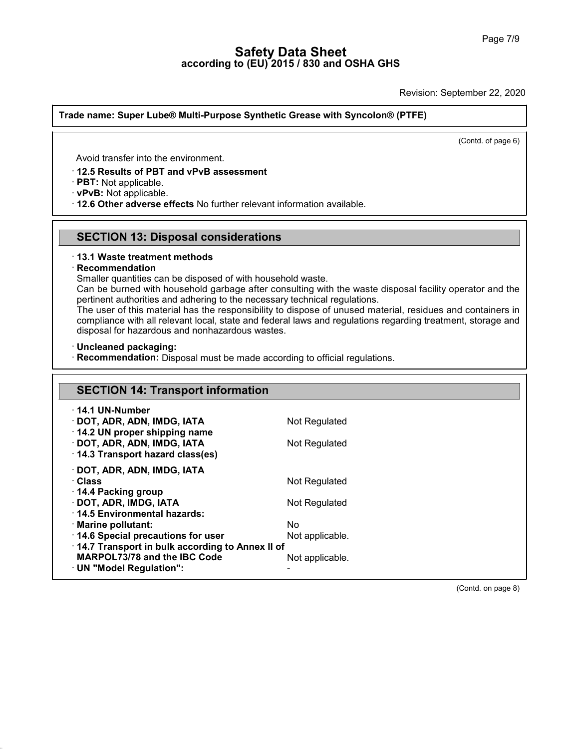Revision: September 22, 2020

### **Trade name: Super Lube® Multi-Purpose Synthetic Grease with Syncolon® (PTFE)**

 $\overline{\text{12.4} \cdot \text{12.5}}$ <br>(Contd. of page 6)

Avoid transfer into the environment.

# · **12.5 Results of PBT and vPvB assessment**

Avoid transfer into the environment.<br> **· 12.5 Results of PBT and vPvB assessment**<br> **· PBT:** Not applicable.<br> **· 12.6 Other adverse effects** No further relevant information available. **PBT:** Not applicable.<br> **PBT:** Not applicable.<br> **SECTION 13: Disposal considerations**<br> **SECTION 13: Disposal considerations** • **12.6 Other adverse effects No further relevant information available.**<br>
• **SECTION 13: Disposal considerations**<br>
• **13.1 Waste treatment methods**<br>
• **Recommendation**<br>
Smaller quantities can be disposed of with household

### · **Recommendation**

**SECTION 13: Disposal considerations**<br>13.1 Waste treatment methods<br>Recommendation<br>Smaller quantities can be disposed of with household waste.<br>Can be burned with household garbage after consulting with the waste<br>pertinent a **SECTION 13: Disposal considerations**<br>13.1 Waste treatment methods<br>Recommendation<br>Smaller quantities can be disposed of with household waste.<br>Can be burned with household garbage after consulting with the waste disposal fa **13.1 Waste treatment methods<br>
Recommendation**<br>
Smaller quantities can be disposed of with household waste.<br>
Can be burned with household garbage after consulting with the waste dispos<br>
pertinent authorities and adhering t

13.1 Waste treatment methods<br>
Recommendation<br>
Smaller quantities can be disposed of with household waste.<br>
Can be burned with household garbage after consulting with the waste disposal facility operator and the<br>
pertinent Recommendation<br>
Smaller quantities can be disposed of with household waste.<br>
Can be burned with household garbage after consulting with the waste disposal facility operator and the<br>
pertinent authorities and adhering to th Smaller quantities can be disposed of with household waste.<br>Can be burned with household garbage after consulting with<br>pertinent authorities and adhering to the necessary technical r<br>The user of this material has the respo pertinent authorities and adhering to the necessary technical regulations.<br>The user of this material has the responsibility to dispose of unused material, residues and containers in<br>compliance with all relevant local, stat

| · Recommendation: Disposal must be made according to official regulations. |                 |  |  |  |
|----------------------------------------------------------------------------|-----------------|--|--|--|
| <b>SECTION 14: Transport information</b>                                   |                 |  |  |  |
|                                                                            |                 |  |  |  |
| $\cdot$ 14.1 UN-Number                                                     |                 |  |  |  |
| · DOT, ADR, ADN, IMDG, IATA                                                | Not Regulated   |  |  |  |
| 14.2 UN proper shipping name                                               |                 |  |  |  |
| · DOT, ADR, ADN, IMDG, IATA<br>14.3 Transport hazard class(es)             | Not Regulated   |  |  |  |
|                                                                            |                 |  |  |  |
| · DOT, ADR, ADN, IMDG, IATA                                                |                 |  |  |  |
| · Class                                                                    | Not Regulated   |  |  |  |
| 14.4 Packing group<br>· DOT, ADR, IMDG, IATA                               | Not Regulated   |  |  |  |
| 14.5 Environmental hazards:                                                |                 |  |  |  |
| · Marine pollutant:                                                        | No.             |  |  |  |
| 14.6 Special precautions for user                                          | Not applicable. |  |  |  |
| 14.7 Transport in bulk according to Annex II of                            |                 |  |  |  |
| MARPOL73/78 and the IBC Code                                               | Not applicable. |  |  |  |
| · UN "Model Regulation":                                                   |                 |  |  |  |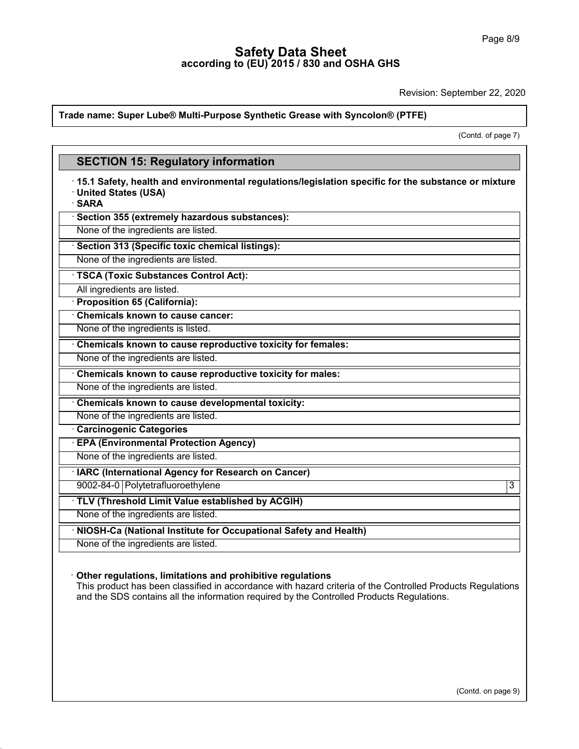Revision: September 22, 2020

### **Trade name: Super Lube® Multi-Purpose Synthetic Grease with Syncolon® (PTFE)**

(contd. of page 7)

# **Example Procedure Super Lube® Multi-Purpose Synthetic Grease**<br>**SECTION 15: Regulatory information<br>15.1 Safety, health and environmental regulations/legisl SECTION 15: Regulatory information**<br>· 15.1 Safety, health and environmental regulations/legislation specific for the substance or mixture<br>· United States (USA)<br>· SARA **SECTION 15: Regulatory information**<br>15.1 Safety, health and environmental regulation<br>United States (USA)<br>1. SARA<br>1. Section 355 (extremely hazardous substances): · **SARA Example 31 Safety, health and environmental regulations/legerally SARA**<br> **SARA**<br> **Section 355 (extremely hazardous substances):**<br>
None of the ingredients are listed. None of the ingredients are listed.<br>None of the ingredients are listed.<br>None of the ingredients are listed.<br>None of the ingredients are listed.<br>None of the ingredients are listed. **SARA**<br> **Example 5 Section 355 (extremely hazardous substances):**<br>
None of the ingredients are listed.<br> **None of the ingredients are listed.**<br> **TSCA (Toxic Substances Control Act):**<br>
All ingredients are listed.<br>
All ingred All ingredients are listed. **Example 15 (Specific text)**<br>
None of the ingredients are listed.<br> **TSCA (Toxic Substances Control**<br>
All ingredients are listed.<br> **Proposition 65 (California):**<br> **Chemicals known to cause cancel TSCA (Toxic Substances Control Act):**<br>
All ingredients are listed.<br> **Proposition 65 (California):**<br> **Chemicals known to cause cancer:**<br>
None of the ingredients is listed. TSCA (Toxic Substances Control Act):<br>
All ingredients are listed.<br> **· Proposition 65 (California):**<br>
· Chemicals known to cause cancer:<br>
None of the ingredients is listed.<br> **· Chemicals known to cause reproductive toxicity** • **Chemicals known to cause cancer:**<br>• **Chemicals known to cause cancer:**<br>• **Chemicals known to cause reproductive toxicity for females:**<br>• None of the ingredients are listed.<br>• **Chemicals known to cause reproductive toxic** The ingredients are listed.<br> **Chemicals known to cause reproductive toxicity for females:**<br> **Chemicals known to cause reproductive toxicity for males:**<br>
None of the ingredients are listed.<br> **Chemicals known to cause develo** None of the ingredients are listed.<br> **Chemicals known to cause reproductive toxicity for males:**<br>
None of the ingredients are listed.<br> **Chemicals known to cause developmental toxicity:**<br>
None of the ingredients are listed. **Chemicals known to cause developmental toxicity:**<br>None of the ingredients are listed.<br>**Carcinogenic Categories**<br>**EPA (Environmental Protection Agency)**<br>None of the ingredients are listed.<br>IARC (International Agency for Re • Chemicals known to cause developmental toxicity:<br>• None of the ingredients are listed.<br>• **Carcinogenic Categories**<br>• **EPA (Environmental Protection Agency)**<br>None of the ingredients are listed.<br>• **IARC (International Agen** EPA (Environmental Protection Agency)<br>
None of the ingredients are listed.<br>
IARC (International Agency for Research on Cancer)<br>
9002-84-0 Polytetrafluoroethylene 33<br>
TLV (Threshold Limit Value established by ACGIH) 9002-84-0 Polytetrafluoroethylene<br>
TLV (Threshold Limit Value established by ACGIH)<br>
None of the ingredients are listed. None of the ingredients are listed.<br>
• **IARC (International Agency for Research on Cancer)**<br>
• **TLV (Threshold Limit Value established by ACGIH)**<br>
• None of the ingredients are listed.<br>
• **NIOSH-Ca (National Institute for** TLV (Threshold Limit Value established by Allong of the ingredients are listed.<br>None of the ingredients are listed.<br>NIOSH-Ca (National Institute for Occupation<br>None of the ingredients are listed. **• NIOSH-Ca (National Institute for Occupational Safety and Health)**<br>None of the ingredients are listed.<br>**• Other regulations, limitations and prohibitive regulations**<br>This product has been classified in accordance with ha NIOSH-Ca (National Institute for Occupational Safety and Health)<br>
None of the ingredients are listed.<br>
Other regulations, limitations and prohibitive regulations<br>
This product has been classified in accordance with hazard None of the ingredients are listed.<br>
Other regulations, limitations and prohibitive regulations<br>
This product has been classified in accordance with hazard criteria of the Controlled Products R<br>
and the SDS contains all th

40.1.5

(Contd. on page 9)